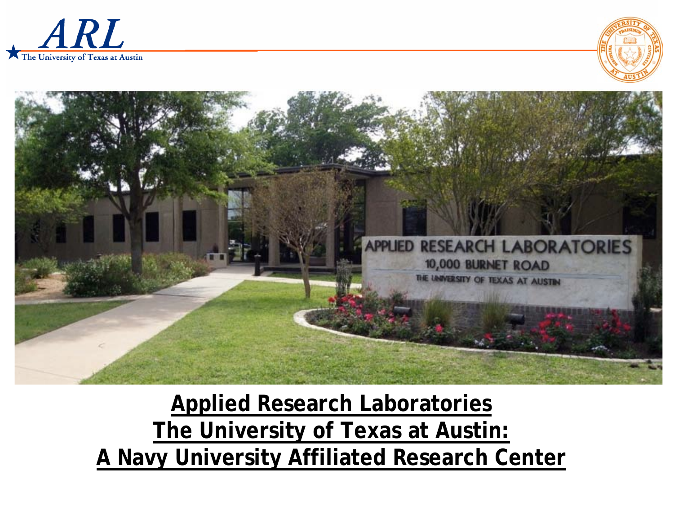





### **Applied Research Laboratories The University of Texas at Austin: A Navy University Affiliated Research Center**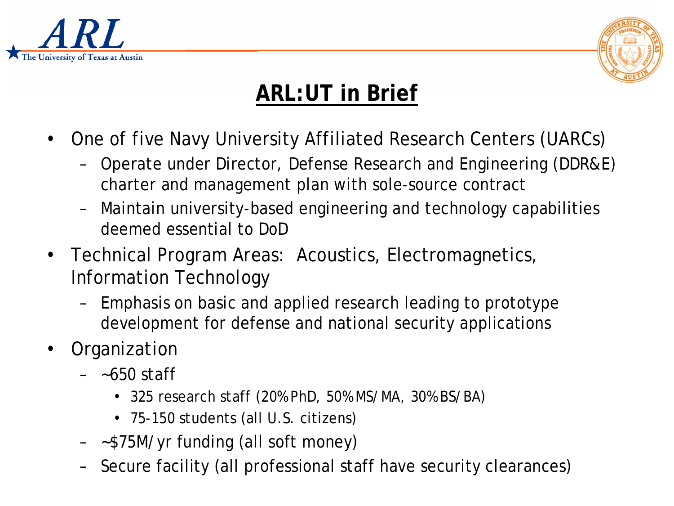



# **ARL:UT in Brief**

- One of five Navy University Affiliated Research Centers (UARCs)
	- Operate under Director, Defense Research and Engineering (DDR&E) charter and management plan with sole-source contract
	- Maintain university-based engineering and technology capabilities deemed essential to DoD
- Technical Program Areas: Acoustics, Electromagnetics, Information Technology
	- Emphasis on basic and applied research leading to prototype development for defense and national security applications
- Organization
	- ~650 staff
		- 325 research staff (20% PhD, 50% MS/MA, 30% BS/BA)
		- 75-150 students (all U.S. citizens)
	- ~\$75M/yr funding (all soft money)
	- Secure facility (all professional staff have security clearances)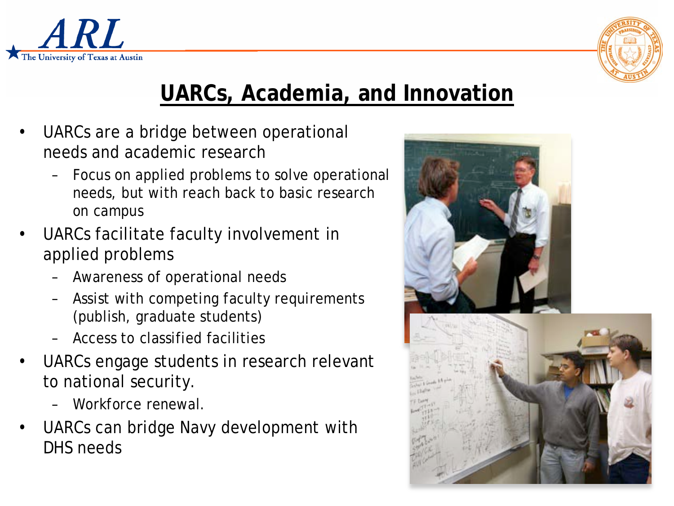



# **UARCs, Academia, and Innovation**

- UARCs are a bridge between operational needs and academic research
	- Focus on applied problems to solve operational needs, but with reach back to basic research on campus
- UARCs facilitate faculty involvement in applied problems
	- Awareness of operational needs
	- Assist with competing faculty requirements (publish, graduate students)
	- Access to classified facilities
- UARCs engage students in research relevant to national security.
	- Workforce renewal.
- UARCs can bridge Navy development with DHS needs

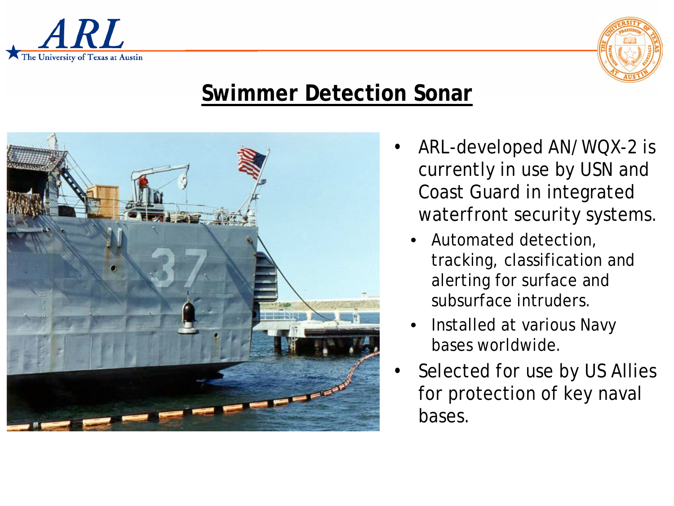



### **Swimmer Detection Sonar**



- ARL-developed AN/WQX-2 is currently in use by USN and Coast Guard in integrated waterfront security systems.
	- Automated detection, tracking, classification and alerting for surface and subsurface intruders.
	- Installed at various Navy bases worldwide.
- Selected for use by US Allies for protection of key naval bases.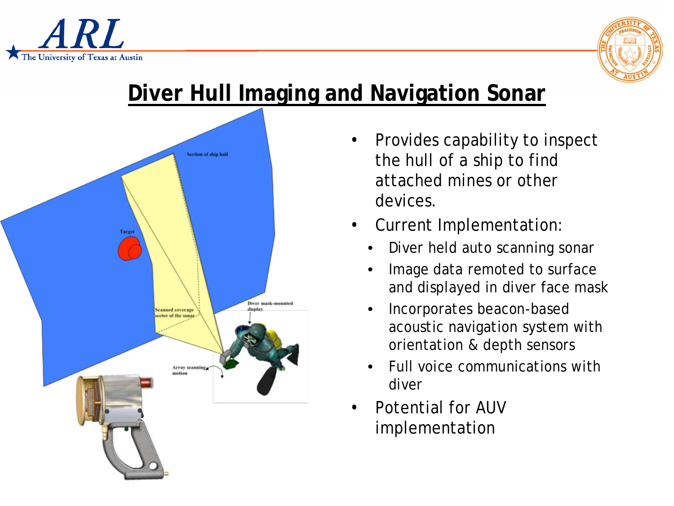



## **Diver Hull Imaging and Navigation Sonar**



- Provides capability to inspect the hull of a ship to find attached mines or other devices.
- Current Implementation:
	- Diver held auto scanning sonar
	- Image data remoted to surface and displayed in diver face mask
	- Incorporates beacon-based acoustic navigation system with orientation & depth sensors
	- Full voice communications with diver
- Potential for AUV implementation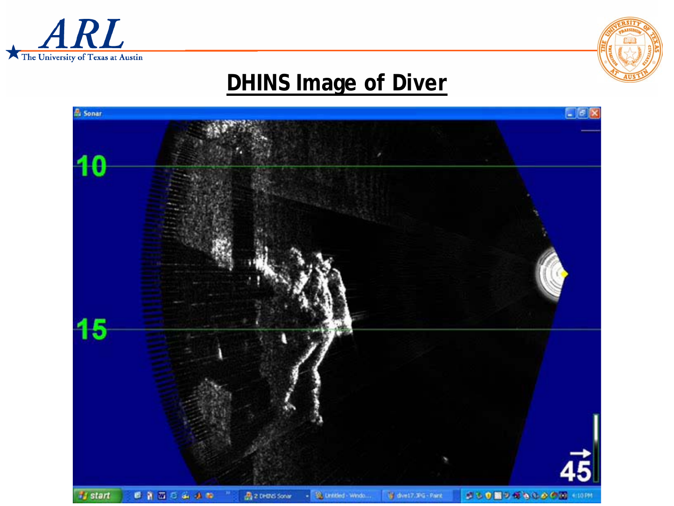



#### **DHINS Image of Diver**